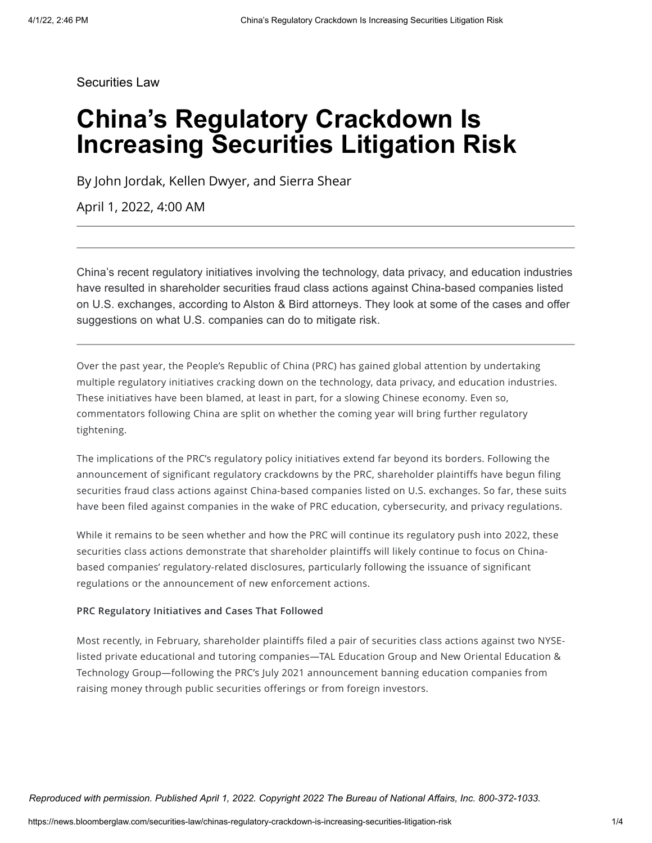Securities Law

# **China's Regulatory Crackdown Is Increasing Securities Litigation Risk**

By John Jordak, Kellen Dwyer, and Sierra Shear

April 1, 2022, 4:00 AM

China's recent regulatory initiatives involving the technology, data privacy, and education industries have resulted in shareholder securities fraud class actions against China-based companies listed on U.S. exchanges, according to Alston & Bird attorneys. They look at some of the cases and offer suggestions on what U.S. companies can do to mitigate risk.

Over the past year, the People's Republic of China (PRC) has gained global attention by undertaking multiple regulatory initiatives cracking down on the technology, data privacy, and education industries. These initiatives have been blamed, at least in part, for a slowing Chinese economy. Even so, commentators following China are split on whether the coming year will bring further regulatory tightening.

The implications of the PRC's regulatory policy initiatives extend far beyond its borders. Following the announcement of significant regulatory crackdowns by the PRC, shareholder plaintiffs have begun filing securities fraud class actions against China-based companies listed on U.S. exchanges. So far, these suits have been filed against companies in the wake of PRC education, cybersecurity, and privacy regulations.

While it remains to be seen whether and how the PRC will continue its regulatory push into 2022, these securities class actions demonstrate that shareholder plaintiffs will likely continue to focus on Chinabased companies' regulatory-related disclosures, particularly following the issuance of significant regulations or the announcement of new enforcement actions.

#### **PRC Regulatory Initiatives and Cases That Followed**

Most recently, in February, shareholder plaintiffs filed a pair of securities class actions against two NYSElisted private educational and tutoring companies—TAL Education Group and New Oriental Education & Technology Group—following the PRC's July 2021 announcement banning education companies from raising money through public securities offerings or from foreign investors.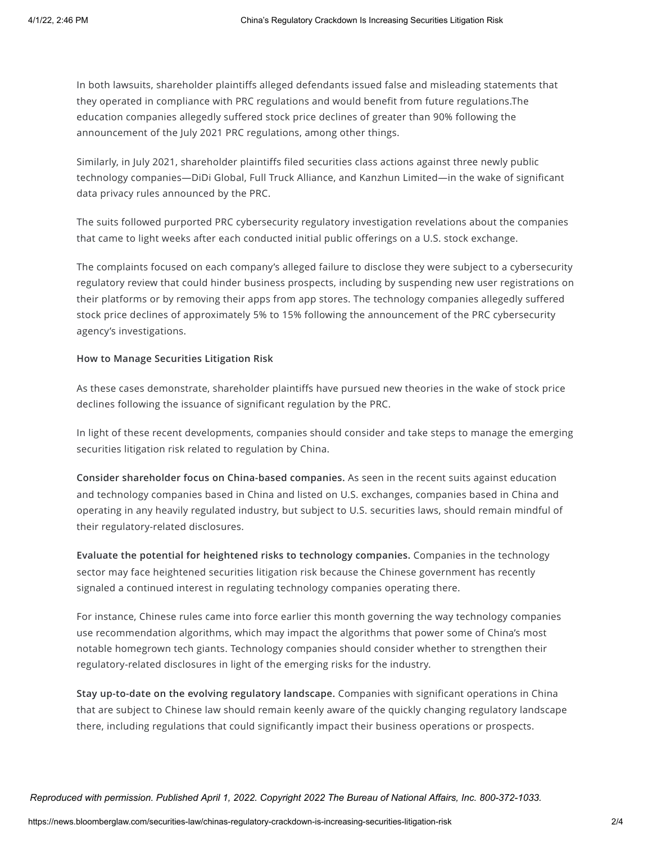In both lawsuits, shareholder plaintiffs alleged defendants issued false and misleading statements that they operated in compliance with PRC regulations and would benefit from future regulations.The education companies allegedly suffered stock price declines of greater than 90% following the announcement of the July 2021 PRC regulations, among other things.

Similarly, in July 2021, shareholder plaintiffs filed securities class actions against three newly public technology companies—DiDi Global, Full Truck Alliance, and Kanzhun Limited—in the wake of significant data privacy rules announced by the PRC.

The suits followed purported PRC cybersecurity regulatory investigation revelations about the companies that came to light weeks after each conducted initial public offerings on a U.S. stock exchange.

The complaints focused on each company's alleged failure to disclose they were subject to a cybersecurity regulatory review that could hinder business prospects, including by suspending new user registrations on their platforms or by removing their apps from app stores. The technology companies allegedly suffered stock price declines of approximately 5% to 15% following the announcement of the PRC cybersecurity agency's investigations.

### **How to Manage Securities Litigation Risk**

As these cases demonstrate, shareholder plaintiffs have pursued new theories in the wake of stock price declines following the issuance of significant regulation by the PRC.

In light of these recent developments, companies should consider and take steps to manage the emerging securities litigation risk related to regulation by China.

**Consider shareholder focus on China-based companies.** As seen in the recent suits against education and technology companies based in China and listed on U.S. exchanges, companies based in China and operating in any heavily regulated industry, but subject to U.S. securities laws, should remain mindful of their regulatory-related disclosures.

**Evaluate the potential for heightened risks to technology companies.** Companies in the technology sector may face heightened securities litigation risk because the Chinese government has recently signaled a continued interest in regulating technology companies operating there.

For instance, Chinese rules came into force earlier this month governing the way technology companies use recommendation algorithms, which may impact the algorithms that power some of China's most notable homegrown tech giants. Technology companies should consider whether to strengthen their regulatory-related disclosures in light of the emerging risks for the industry.

**Stay up-to-date on the evolving regulatory landscape.** Companies with significant operations in China that are subject to Chinese law should remain keenly aware of the quickly changing regulatory landscape there, including regulations that could significantly impact their business operations or prospects.